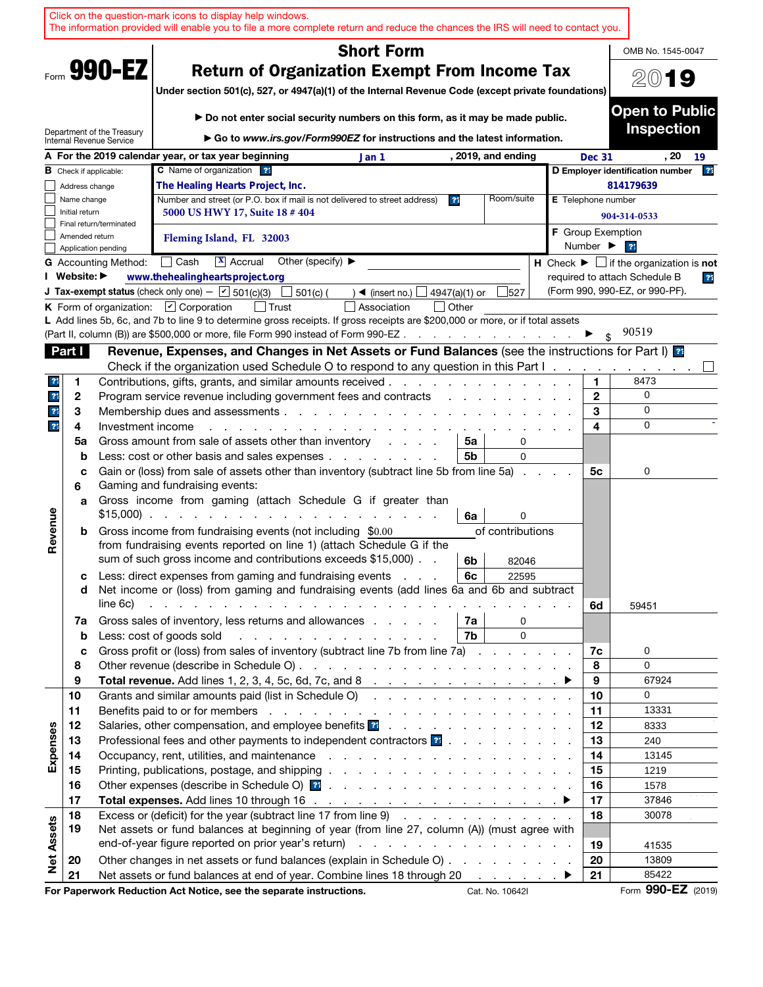|                   |                                                                              |                             | Click on the question-mark icons to display help windows.<br>The information provided will enable you to file a more complete return and reduce the chances the IRS will need to contact you.                                                                                                                    |  |                          |                                                                 |
|-------------------|------------------------------------------------------------------------------|-----------------------------|------------------------------------------------------------------------------------------------------------------------------------------------------------------------------------------------------------------------------------------------------------------------------------------------------------------|--|--------------------------|-----------------------------------------------------------------|
|                   |                                                                              |                             | <b>Short Form</b>                                                                                                                                                                                                                                                                                                |  |                          | OMB No. 1545-0047                                               |
|                   |                                                                              | Form 990-EZ                 | <b>Return of Organization Exempt From Income Tax</b><br>Under section 501(c), 527, or 4947(a)(1) of the Internal Revenue Code (except private foundations)                                                                                                                                                       |  |                          | 200<br>19                                                       |
|                   |                                                                              | Department of the Treasury  | ► Do not enter social security numbers on this form, as it may be made public.                                                                                                                                                                                                                                   |  |                          | <b>Open to Public</b><br><b>Inspection</b>                      |
|                   |                                                                              | Internal Revenue Service    | ► Go to www.irs.gov/Form990EZ for instructions and the latest information.                                                                                                                                                                                                                                       |  |                          |                                                                 |
|                   |                                                                              |                             | A For the 2019 calendar year, or tax year beginning<br>, 2019, and ending<br>Jan 1                                                                                                                                                                                                                               |  | <b>Dec 31</b>            | $, 20 \quad 19$                                                 |
|                   | C Name of organization ??<br><b>B</b> Check if applicable:<br>Address change |                             |                                                                                                                                                                                                                                                                                                                  |  |                          | 2 <sup>1</sup><br>D Employer identification number<br>814179639 |
|                   | Name change                                                                  |                             | The Healing Hearts Project, Inc.<br>Room/suite<br>Number and street (or P.O. box if mail is not delivered to street address)<br>3 <sup>1</sup>                                                                                                                                                                   |  | E Telephone number       |                                                                 |
|                   | Initial return                                                               |                             | 5000 US HWY 17, Suite 18 # 404                                                                                                                                                                                                                                                                                   |  |                          | 904-314-0533                                                    |
|                   |                                                                              | Final return/terminated     |                                                                                                                                                                                                                                                                                                                  |  | <b>F</b> Group Exemption |                                                                 |
|                   | Amended return                                                               | Application pending         | Fleming Island, FL 32003                                                                                                                                                                                                                                                                                         |  | Number ▶                 | 21                                                              |
|                   |                                                                              | <b>G</b> Accounting Method: | $\Box$ Cash<br>$\overline{\mathbf{x}}$ Accrual<br>Other (specify) $\blacktriangleright$                                                                                                                                                                                                                          |  |                          | H Check $\blacktriangleright \Box$ if the organization is not   |
|                   | I Website: ▶                                                                 |                             | www.thehealingheartsproject.org                                                                                                                                                                                                                                                                                  |  |                          | required to attach Schedule B<br>23                             |
|                   |                                                                              |                             | <b>J Tax-exempt status</b> (check only one) - $\boxed{\mathbf{v}}$ 501(c)(3)<br>$501(c)$ (<br>527<br>) $\blacktriangleleft$ (insert no.) $\sqsubset$<br>4947(a)(1) or<br>$\blacksquare$                                                                                                                          |  |                          | (Form 990, 990-EZ, or 990-PF).                                  |
|                   |                                                                              |                             | K Form of organization: $\boxed{\mathbf{v}}$ Corporation<br>  Trust<br>Association<br>  Other                                                                                                                                                                                                                    |  |                          |                                                                 |
|                   |                                                                              |                             | L Add lines 5b, 6c, and 7b to line 9 to determine gross receipts. If gross receipts are \$200,000 or more, or if total assets<br>(Part II, column (B)) are \$500,000 or more, file Form 990 instead of Form 990-EZ                                                                                               |  |                          | 90519                                                           |
|                   | Part I                                                                       |                             | Revenue, Expenses, and Changes in Net Assets or Fund Balances (see the instructions for Part I) as                                                                                                                                                                                                               |  |                          |                                                                 |
|                   |                                                                              |                             | Check if the organization used Schedule O to respond to any question in this Part I.                                                                                                                                                                                                                             |  |                          |                                                                 |
| $\mathbf{?}$      | 1                                                                            |                             | Contributions, gifts, grants, and similar amounts received.<br>the contract of the contract of the contract of the contract of the contract of the contract of the contract of                                                                                                                                   |  | 1.                       | 8473                                                            |
| $\overline{?}$    | 2                                                                            |                             | Program service revenue including government fees and contracts<br>the contract of the contract of the contract of the contract of the contract of the contract of the contract of                                                                                                                               |  | $\mathbf{2}$             | 0                                                               |
| $\overline{?}$    | 3                                                                            |                             | Membership dues and assessments                                                                                                                                                                                                                                                                                  |  | 3                        | 0                                                               |
| $\overline{?}$    | 4                                                                            | Investment income           |                                                                                                                                                                                                                                                                                                                  |  | 4                        | $\Omega$                                                        |
|                   | 5a                                                                           |                             | Gross amount from sale of assets other than inventory<br>5a<br>0<br>and the control                                                                                                                                                                                                                              |  |                          |                                                                 |
|                   | b                                                                            |                             | 5b<br>Less: cost or other basis and sales expenses<br>$\Omega$                                                                                                                                                                                                                                                   |  |                          |                                                                 |
|                   | C                                                                            |                             | Gain or (loss) from sale of assets other than inventory (subtract line 5b from line 5a).                                                                                                                                                                                                                         |  | 5с                       | 0                                                               |
|                   | 6                                                                            |                             | Gaming and fundraising events:                                                                                                                                                                                                                                                                                   |  |                          |                                                                 |
|                   | a                                                                            |                             | Gross income from gaming (attach Schedule G if greater than<br>$$15,000$                                                                                                                                                                                                                                         |  |                          |                                                                 |
|                   |                                                                              |                             | 6a<br>0<br>of contributions                                                                                                                                                                                                                                                                                      |  |                          |                                                                 |
| Revenue           | b                                                                            |                             | Gross income from fundraising events (not including \$0.00<br>from fundraising events reported on line 1) (attach Schedule G if the                                                                                                                                                                              |  |                          |                                                                 |
|                   |                                                                              |                             | sum of such gross income and contributions exceeds \$15,000).<br>6b<br>82046                                                                                                                                                                                                                                     |  |                          |                                                                 |
|                   | c                                                                            |                             | Less: direct expenses from gaming and fundraising events<br>6c<br>22595                                                                                                                                                                                                                                          |  |                          |                                                                 |
|                   | d                                                                            |                             | Net income or (loss) from gaming and fundraising events (add lines 6a and 6b and subtract                                                                                                                                                                                                                        |  |                          |                                                                 |
|                   |                                                                              | line 6c)                    | de la casa de la casa de la casa de la casa de la casa de la casa de la casa de la casa de                                                                                                                                                                                                                       |  | 6d                       | 59451                                                           |
|                   | 7a                                                                           |                             | Gross sales of inventory, less returns and allowances<br>7а<br>0                                                                                                                                                                                                                                                 |  |                          |                                                                 |
|                   | b                                                                            |                             | $\mathbf{0}$<br>7b<br>Less: cost of goods sold<br>and the company of the company of the company of                                                                                                                                                                                                               |  |                          |                                                                 |
|                   | C                                                                            |                             | Gross profit or (loss) from sales of inventory (subtract line 7b from line 7a)                                                                                                                                                                                                                                   |  | 7c                       | 0                                                               |
|                   | 8                                                                            |                             |                                                                                                                                                                                                                                                                                                                  |  | 8                        | $\mathbf 0$                                                     |
|                   | 9                                                                            |                             |                                                                                                                                                                                                                                                                                                                  |  | 9                        | 67924                                                           |
|                   | 10                                                                           |                             | Grants and similar amounts paid (list in Schedule O)                                                                                                                                                                                                                                                             |  | 10                       | 0                                                               |
|                   | 11                                                                           |                             |                                                                                                                                                                                                                                                                                                                  |  | 11                       | 13331                                                           |
| Expenses          | 12<br>13                                                                     |                             | Salaries, other compensation, and employee benefits <b>21</b> and a series of the series of the series of the series of the series of the series of the series of the series of the series of the series of the series of the serie<br>Professional fees and other payments to independent contractors <b>?:</b> |  | 12<br>13                 | 8333<br>240                                                     |
|                   | 14                                                                           |                             |                                                                                                                                                                                                                                                                                                                  |  | 14                       | 13145                                                           |
|                   | 15                                                                           |                             |                                                                                                                                                                                                                                                                                                                  |  | 15                       | 1219                                                            |
|                   | 16                                                                           |                             |                                                                                                                                                                                                                                                                                                                  |  | 16                       | 1578                                                            |
|                   | 17                                                                           |                             |                                                                                                                                                                                                                                                                                                                  |  | 17                       | 37846                                                           |
|                   | 18                                                                           |                             | Excess or (deficit) for the year (subtract line 17 from line 9)                                                                                                                                                                                                                                                  |  | 18                       | 30078                                                           |
|                   | 19                                                                           |                             | Net assets or fund balances at beginning of year (from line 27, column (A)) (must agree with                                                                                                                                                                                                                     |  |                          |                                                                 |
|                   |                                                                              |                             |                                                                                                                                                                                                                                                                                                                  |  | 19                       | 41535                                                           |
| <b>Net Assets</b> | 20                                                                           |                             | Other changes in net assets or fund balances (explain in Schedule O)                                                                                                                                                                                                                                             |  | 20                       | 13809                                                           |
|                   | 21                                                                           |                             | Net assets or fund balances at end of year. Combine lines 18 through 20 ▶                                                                                                                                                                                                                                        |  | 21                       | 85422                                                           |
|                   |                                                                              |                             | For Paperwork Reduction Act Notice, see the separate instructions.<br>Cat. No. 10642I                                                                                                                                                                                                                            |  |                          | Form 990-EZ (2019)                                              |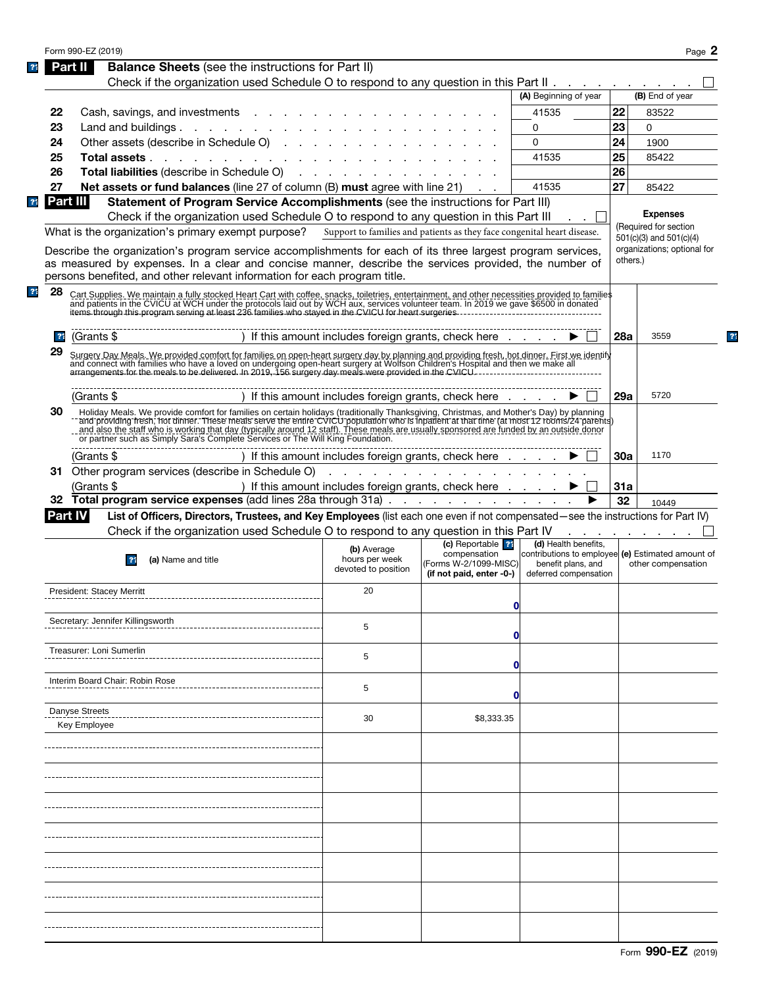|    |                                                                                                                                                                                                                                    |                               |                                                                         |                                                   |            | Page 2                                                                                                        |
|----|------------------------------------------------------------------------------------------------------------------------------------------------------------------------------------------------------------------------------------|-------------------------------|-------------------------------------------------------------------------|---------------------------------------------------|------------|---------------------------------------------------------------------------------------------------------------|
|    | <b>Balance Sheets</b> (see the instructions for Part II)<br>Part II                                                                                                                                                                |                               |                                                                         |                                                   |            |                                                                                                               |
|    | Check if the organization used Schedule O to respond to any question in this Part II                                                                                                                                               |                               |                                                                         |                                                   |            |                                                                                                               |
|    |                                                                                                                                                                                                                                    |                               |                                                                         | (A) Beginning of year                             |            | (B) End of year                                                                                               |
| 22 | Cash, savings, and investments                                                                                                                                                                                                     |                               |                                                                         | 41535                                             | 22         | 83522                                                                                                         |
| 23 |                                                                                                                                                                                                                                    |                               |                                                                         | 0                                                 | 23         | $\Omega$                                                                                                      |
| 24 | Other assets (describe in Schedule O)                                                                                                                                                                                              |                               |                                                                         | $\Omega$                                          | 24         | 1900                                                                                                          |
| 25 |                                                                                                                                                                                                                                    |                               |                                                                         | 41535                                             | 25         | 85422                                                                                                         |
| 26 | <b>Total liabilities</b> (describe in Schedule O) (e.g., and a control of the state of the state of the state of the state of the state of the state of the state of the state of the state of the state of the state of the state |                               |                                                                         |                                                   | 26         |                                                                                                               |
|    |                                                                                                                                                                                                                                    |                               |                                                                         |                                                   |            |                                                                                                               |
| 27 | Net assets or fund balances (line 27 of column (B) must agree with line 21)                                                                                                                                                        |                               |                                                                         | 41535                                             | 27         | 85422                                                                                                         |
|    | Part III<br>Statement of Program Service Accomplishments (see the instructions for Part III)                                                                                                                                       |                               |                                                                         |                                                   |            |                                                                                                               |
|    | Check if the organization used Schedule O to respond to any question in this Part III                                                                                                                                              |                               |                                                                         |                                                   |            | <b>Expenses</b><br>(Required for section                                                                      |
|    | What is the organization's primary exempt purpose?                                                                                                                                                                                 |                               | Support to families and patients as they face congenital heart disease. |                                                   |            | 501(c)(3) and 501(c)(4)                                                                                       |
|    | Describe the organization's program service accomplishments for each of its three largest program services,                                                                                                                        |                               |                                                                         |                                                   |            | organizations; optional for                                                                                   |
|    | as measured by expenses. In a clear and concise manner, describe the services provided, the number of                                                                                                                              |                               |                                                                         |                                                   | others.)   |                                                                                                               |
|    | persons benefited, and other relevant information for each program title.                                                                                                                                                          |                               |                                                                         |                                                   |            |                                                                                                               |
| 28 | Cart Supplies. We maintain a fully stocked Heart Cart with coffee, snacks, toiletries, entertainment, and other necessities provided to families<br>and patients in the CVICU at WCH under the protocols laid out by WCH aux, ser  |                               |                                                                         |                                                   |            |                                                                                                               |
|    |                                                                                                                                                                                                                                    |                               |                                                                         |                                                   |            |                                                                                                               |
|    |                                                                                                                                                                                                                                    |                               |                                                                         |                                                   |            |                                                                                                               |
|    | 21<br>(Grants \$                                                                                                                                                                                                                   |                               | ) If this amount includes foreign grants, check here                    |                                                   | <b>28a</b> | 3559                                                                                                          |
| 29 |                                                                                                                                                                                                                                    |                               |                                                                         |                                                   |            |                                                                                                               |
|    | Surgery Day Meals. We provided comfort for families on open-heart surgery day by planning and providing fresh, hot dinner. First we identify<br>and connect with families who have a loved on undergoing open-heart surgery at Wo  |                               |                                                                         |                                                   |            |                                                                                                               |
|    |                                                                                                                                                                                                                                    |                               |                                                                         |                                                   |            |                                                                                                               |
|    | (Grants \$                                                                                                                                                                                                                         |                               | ) If this amount includes foreign grants, check here $\ldots$           |                                                   | 29a        | 5720                                                                                                          |
| 30 |                                                                                                                                                                                                                                    |                               |                                                                         |                                                   |            |                                                                                                               |
|    | Holiday Meals. We provide comfort for families on certain holidays (traditionally Thanksgiving, Christmas, and Mother's Day) by planning  <br>'and providing fresh, hot dinner. These meals serve the entire CVICU population who  |                               |                                                                         |                                                   |            |                                                                                                               |
|    | and also the staff who is working that day (typically around 12 staff). These meals are usually sponsored are funded by an outside donor<br>or partner such as Simply Sara's Complete Services or The Will King Foundation.        |                               |                                                                         |                                                   |            |                                                                                                               |
|    | -----------------------------------                                                                                                                                                                                                |                               |                                                                         |                                                   |            |                                                                                                               |
|    | (Grants \$                                                                                                                                                                                                                         |                               | ) If this amount includes foreign grants, check here $\ldots$ $\ldots$  |                                                   | 30a        | 1170                                                                                                          |
|    | 31 Other program services (describe in Schedule O)                                                                                                                                                                                 |                               | the contract of the contract of the contract of the contract of         |                                                   |            |                                                                                                               |
|    | (Grants \$                                                                                                                                                                                                                         |                               | ) If this amount includes foreign grants, check here ▶                  |                                                   | 31a        |                                                                                                               |
|    | 32 Total program service expenses (add lines 28a through 31a)                                                                                                                                                                      |                               |                                                                         |                                                   | 32         | 10449                                                                                                         |
|    | List of Officers, Directors, Trustees, and Key Employees (list each one even if not compensated—see the instructions for Part IV)<br>Part IV                                                                                       |                               |                                                                         |                                                   |            |                                                                                                               |
|    |                                                                                                                                                                                                                                    |                               |                                                                         |                                                   |            |                                                                                                               |
|    | Check if the organization used Schedule O to respond to any question in this Part IV                                                                                                                                               |                               |                                                                         |                                                   |            | and a state of the state of the state of the state of the state of the state of the state of the state of the |
|    |                                                                                                                                                                                                                                    |                               | (c) Reportable <sup>22</sup>                                            | (d) Health benefits,                              |            |                                                                                                               |
|    | (a) Name and title<br> 21                                                                                                                                                                                                          | (b) Average<br>hours per week | compensation                                                            | contributions to employee (e) Estimated amount of |            |                                                                                                               |
|    |                                                                                                                                                                                                                                    | devoted to position           | (Forms W-2/1099-MISC)<br>(if not paid, enter -0-)                       | benefit plans, and<br>deferred compensation       |            | other compensation                                                                                            |
|    |                                                                                                                                                                                                                                    |                               |                                                                         |                                                   |            |                                                                                                               |
|    | President: Stacey Merritt                                                                                                                                                                                                          | 20                            |                                                                         |                                                   |            |                                                                                                               |
|    |                                                                                                                                                                                                                                    |                               | 0                                                                       |                                                   |            |                                                                                                               |
|    | Secretary: Jennifer Killingsworth                                                                                                                                                                                                  | 5                             |                                                                         |                                                   |            |                                                                                                               |
|    |                                                                                                                                                                                                                                    |                               | 0                                                                       |                                                   |            |                                                                                                               |
|    | Treasurer: Loni Sumerlin                                                                                                                                                                                                           | 5                             |                                                                         |                                                   |            |                                                                                                               |
|    |                                                                                                                                                                                                                                    |                               | O                                                                       |                                                   |            |                                                                                                               |
|    | Interim Board Chair: Robin Rose                                                                                                                                                                                                    |                               |                                                                         |                                                   |            |                                                                                                               |
|    |                                                                                                                                                                                                                                    | 5                             | O                                                                       |                                                   |            |                                                                                                               |
|    |                                                                                                                                                                                                                                    |                               |                                                                         |                                                   |            |                                                                                                               |
|    | Danyse Streets                                                                                                                                                                                                                     | 30                            | \$8,333.35                                                              |                                                   |            |                                                                                                               |
|    | Key Employee                                                                                                                                                                                                                       |                               |                                                                         |                                                   |            |                                                                                                               |
|    |                                                                                                                                                                                                                                    |                               |                                                                         |                                                   |            |                                                                                                               |
|    |                                                                                                                                                                                                                                    |                               |                                                                         |                                                   |            |                                                                                                               |
|    |                                                                                                                                                                                                                                    |                               |                                                                         |                                                   |            |                                                                                                               |
|    |                                                                                                                                                                                                                                    |                               |                                                                         |                                                   |            |                                                                                                               |
|    |                                                                                                                                                                                                                                    |                               |                                                                         |                                                   |            |                                                                                                               |
|    |                                                                                                                                                                                                                                    |                               |                                                                         |                                                   |            |                                                                                                               |
|    |                                                                                                                                                                                                                                    |                               |                                                                         |                                                   |            |                                                                                                               |
|    |                                                                                                                                                                                                                                    |                               |                                                                         |                                                   |            |                                                                                                               |
|    |                                                                                                                                                                                                                                    |                               |                                                                         |                                                   |            |                                                                                                               |
|    |                                                                                                                                                                                                                                    |                               |                                                                         |                                                   |            |                                                                                                               |
|    |                                                                                                                                                                                                                                    |                               |                                                                         |                                                   |            |                                                                                                               |
|    |                                                                                                                                                                                                                                    |                               |                                                                         |                                                   |            |                                                                                                               |
|    |                                                                                                                                                                                                                                    |                               |                                                                         |                                                   |            |                                                                                                               |
|    |                                                                                                                                                                                                                                    |                               |                                                                         |                                                   |            |                                                                                                               |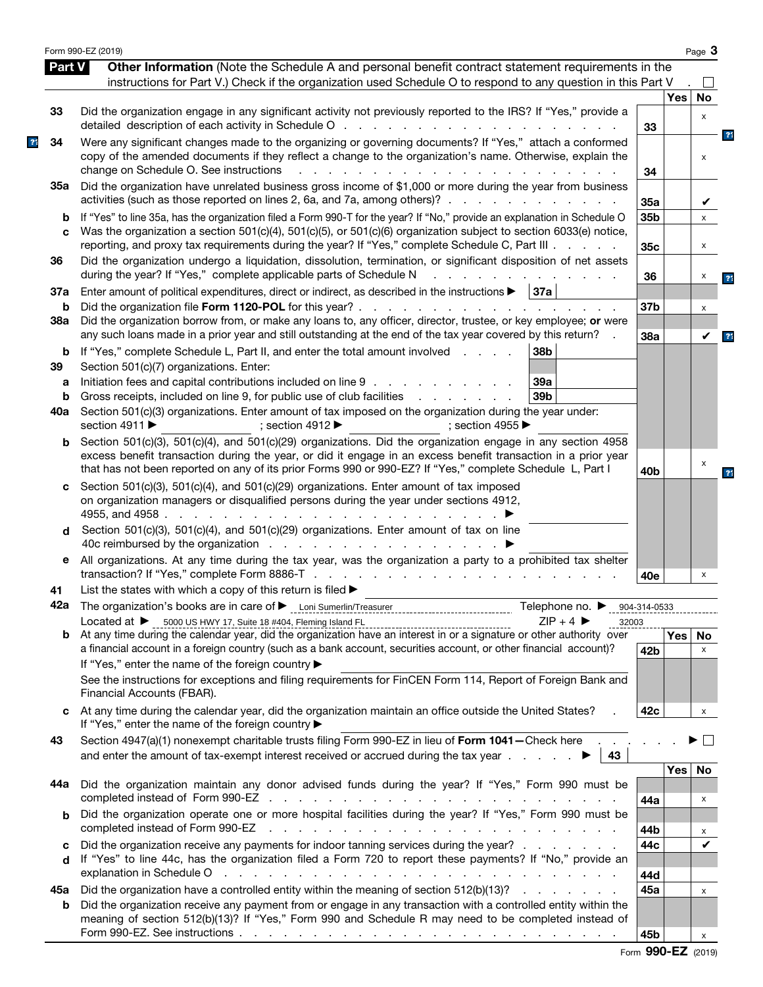| <b>Part V</b> | Other Information (Note the Schedule A and personal benefit contract statement requirements in the<br>instructions for Part V.) Check if the organization used Schedule O to respond to any question in this Part V                                                                                                                                                                                                                   |                 |            | $\perp$            |                |
|---------------|---------------------------------------------------------------------------------------------------------------------------------------------------------------------------------------------------------------------------------------------------------------------------------------------------------------------------------------------------------------------------------------------------------------------------------------|-----------------|------------|--------------------|----------------|
|               |                                                                                                                                                                                                                                                                                                                                                                                                                                       |                 | <b>Yes</b> | No                 |                |
| 33            | Did the organization engage in any significant activity not previously reported to the IRS? If "Yes," provide a                                                                                                                                                                                                                                                                                                                       | 33              |            | X                  |                |
| 34            | Were any significant changes made to the organizing or governing documents? If "Yes," attach a conformed<br>copy of the amended documents if they reflect a change to the organization's name. Otherwise, explain the<br>change on Schedule O. See instructions<br>$\sim$<br>$\sim$ $\sim$                                                                                                                                            | 34              |            | x                  | 23             |
| 35а           | Did the organization have unrelated business gross income of \$1,000 or more during the year from business<br>activities (such as those reported on lines 2, 6a, and 7a, among others)?                                                                                                                                                                                                                                               | 35a             |            | V                  |                |
| b<br>C        | If "Yes" to line 35a, has the organization filed a Form 990-T for the year? If "No," provide an explanation in Schedule O<br>Was the organization a section 501(c)(4), 501(c)(5), or 501(c)(6) organization subject to section 6033(e) notice,                                                                                                                                                                                        | 35b             |            | x                  |                |
| 36            | reporting, and proxy tax requirements during the year? If "Yes," complete Schedule C, Part III .<br>Did the organization undergo a liquidation, dissolution, termination, or significant disposition of net assets<br>during the year? If "Yes," complete applicable parts of Schedule N                                                                                                                                              | 35c<br>36       |            | X<br>х             |                |
| 37a           | Enter amount of political expenditures, direct or indirect, as described in the instructions $\blacktriangleright$   37a                                                                                                                                                                                                                                                                                                              |                 |            |                    | 21             |
| b<br>38a      | Did the organization borrow from, or make any loans to, any officer, director, trustee, or key employee; or were<br>any such loans made in a prior year and still outstanding at the end of the tax year covered by this return?                                                                                                                                                                                                      | 37b<br>38a      |            | х<br>V             | $\overline{3}$ |
| b<br>39       | If "Yes," complete Schedule L, Part II, and enter the total amount involved<br>38b<br>Section 501(c)(7) organizations. Enter:                                                                                                                                                                                                                                                                                                         |                 |            |                    |                |
| a<br>b        | Initiation fees and capital contributions included on line 9<br>39a<br>Gross receipts, included on line 9, for public use of club facilities<br>39 <sub>b</sub><br>and a state of the state of the                                                                                                                                                                                                                                    |                 |            |                    |                |
| 40a           | Section 501(c)(3) organizations. Enter amount of tax imposed on the organization during the year under:<br>section 4911 ▶<br>; section 4955 $\blacktriangleright$<br>; section 4912 $\blacktriangleright$                                                                                                                                                                                                                             |                 |            |                    |                |
| b             | Section 501(c)(3), 501(c)(4), and 501(c)(29) organizations. Did the organization engage in any section 4958<br>excess benefit transaction during the year, or did it engage in an excess benefit transaction in a prior year<br>that has not been reported on any of its prior Forms 990 or 990-EZ? If "Yes," complete Schedule L, Part I                                                                                             | 40 <sub>b</sub> |            | X                  | 21             |
| C             | Section 501(c)(3), 501(c)(4), and 501(c)(29) organizations. Enter amount of tax imposed<br>on organization managers or disqualified persons during the year under sections 4912,<br>4955, and 4958.<br>the contract of the contract of the contract of the contract of the contract of the contract of the contract of                                                                                                                |                 |            |                    |                |
| d             | Section 501(c)(3), 501(c)(4), and 501(c)(29) organizations. Enter amount of tax on line                                                                                                                                                                                                                                                                                                                                               |                 |            |                    |                |
| е             | All organizations. At any time during the tax year, was the organization a party to a prohibited tax shelter                                                                                                                                                                                                                                                                                                                          | 40e             |            | х                  |                |
| 41            | List the states with which a copy of this return is filed $\blacktriangleright$                                                                                                                                                                                                                                                                                                                                                       |                 |            |                    |                |
|               | 42a The organization's books are in care of Leoni Sumerlin/Treasurer<br>Telephone no. ▶ 904-314-0533<br>Located at > 5000 US HWY 17, Suite 18 #404, Fleming Island FL<br>$7IP + 4$                                                                                                                                                                                                                                                    |                 |            |                    |                |
| b             | 32003<br>a financial account in a foreign country (such as a bank account, securities account, or other financial account)?<br>If "Yes," enter the name of the foreign country ▶                                                                                                                                                                                                                                                      | 42 <sub>b</sub> | Yes        | No<br>$\mathsf{x}$ |                |
|               | See the instructions for exceptions and filing requirements for FinCEN Form 114, Report of Foreign Bank and<br>Financial Accounts (FBAR).                                                                                                                                                                                                                                                                                             |                 |            |                    |                |
|               | At any time during the calendar year, did the organization maintain an office outside the United States?<br>If "Yes," enter the name of the foreign country ▶                                                                                                                                                                                                                                                                         | 42 <sub>c</sub> |            | x                  |                |
| 43            | Section 4947(a)(1) nonexempt charitable trusts filing Form 990-EZ in lieu of Form 1041 - Check here<br>43                                                                                                                                                                                                                                                                                                                             |                 |            | $\mathbf{L}$       |                |
| 44a           | Did the organization maintain any donor advised funds during the year? If "Yes," Form 990 must be                                                                                                                                                                                                                                                                                                                                     | 44a             | Yes        | No.<br>X           |                |
| b             | Did the organization operate one or more hospital facilities during the year? If "Yes," Form 990 must be<br>completed instead of Form 990-EZ<br>and the contract of the contract of the contract of the contract of the contract of                                                                                                                                                                                                   | 44b             |            | x                  |                |
| c<br>d        | Did the organization receive any payments for indoor tanning services during the year?<br>If "Yes" to line 44c, has the organization filed a Form 720 to report these payments? If "No," provide an<br>explanation in Schedule O response to the contract of the contract of the contract of the contract of the contract of the contract of the contract of the contract of the contract of the contract of the contract of the cont | 44c<br>44d      |            | ✔                  |                |
| 45а           | Did the organization have a controlled entity within the meaning of section $512(b)(13)?$<br>Did the organization receive any payment from or engage in any transaction with a controlled entity within the                                                                                                                                                                                                                           | 45a             |            | X                  |                |
| b             |                                                                                                                                                                                                                                                                                                                                                                                                                                       |                 |            |                    |                |

|  | Form 990-EZ (2019) |  |
|--|--------------------|--|
|--|--------------------|--|